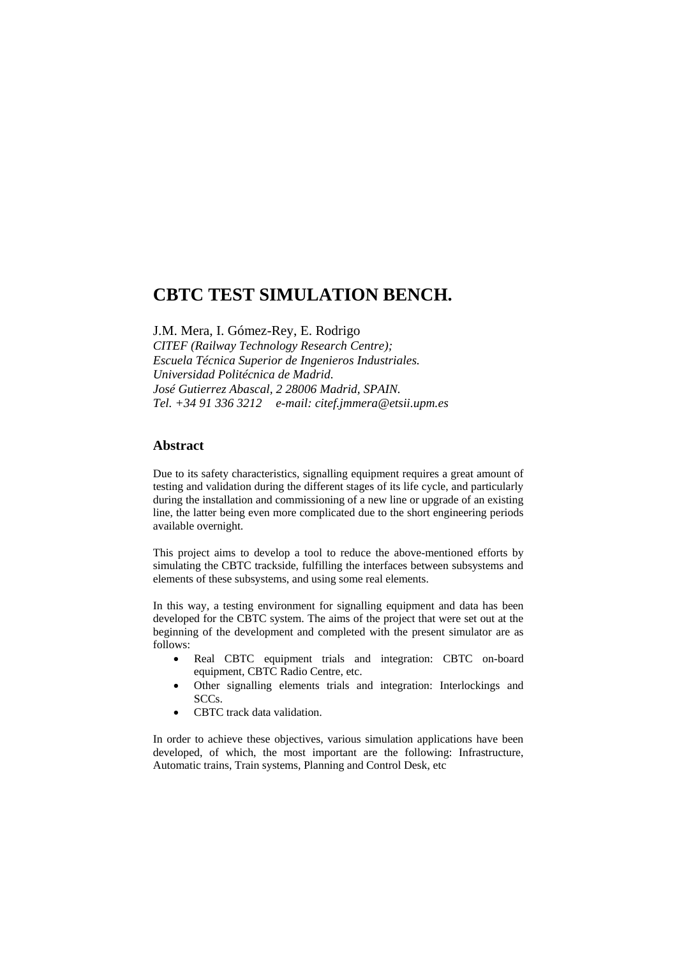# **CBTC TEST SIMULATION BENCH.**

J.M. Mera, I. Gómez-Rey, E. Rodrigo

*CITEF (Railway Technology Research Centre); Escuela Técnica Superior de Ingenieros Industriales. Universidad Politécnica de Madrid. José Gutierrez Abascal, 2 28006 Madrid, SPAIN. Tel. +34 91 336 3212 e-mail: citef.jmmera@etsii.upm.es*

#### **Abstract**

Due to its safety characteristics, signalling equipment requires a great amount of testing and validation during the different stages of its life cycle, and particularly during the installation and commissioning of a new line or upgrade of an existing line, the latter being even more complicated due to the short engineering periods available overnight.

This project aims to develop a tool to reduce the above-mentioned efforts by simulating the CBTC trackside, fulfilling the interfaces between subsystems and elements of these subsystems, and using some real elements.

In this way, a testing environment for signalling equipment and data has been developed for the CBTC system. The aims of the project that were set out at the beginning of the development and completed with the present simulator are as follows:

- Real CBTC equipment trials and integration: CBTC on-board equipment, CBTC Radio Centre, etc.
- Other signalling elements trials and integration: Interlockings and SCCs.
- CBTC track data validation.

In order to achieve these objectives, various simulation applications have been developed, of which, the most important are the following: Infrastructure, Automatic trains, Train systems, Planning and Control Desk, etc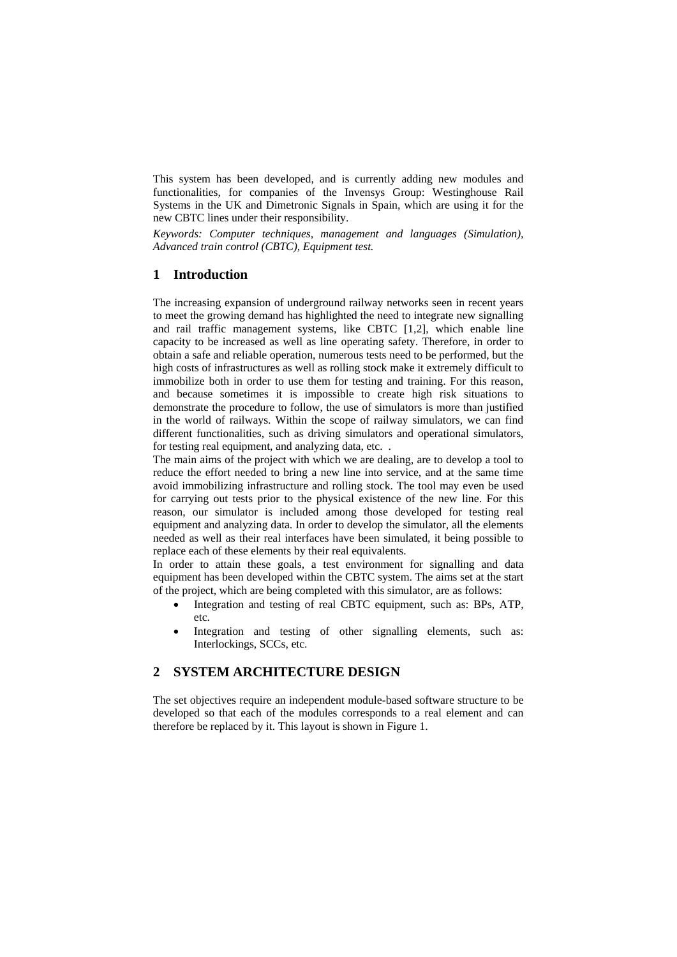This system has been developed, and is currently adding new modules and functionalities, for companies of the Invensys Group: Westinghouse Rail Systems in the UK and Dimetronic Signals in Spain, which are using it for the new CBTC lines under their responsibility.

*Keywords: Computer techniques, management and languages (Simulation), Advanced train control (CBTC), Equipment test.*

#### **1 Introduction**

The increasing expansion of underground railway networks seen in recent years to meet the growing demand has highlighted the need to integrate new signalling and rail traffic management systems, like CBTC [1,2], which enable line capacity to be increased as well as line operating safety. Therefore, in order to obtain a safe and reliable operation, numerous tests need to be performed, but the high costs of infrastructures as well as rolling stock make it extremely difficult to immobilize both in order to use them for testing and training. For this reason, and because sometimes it is impossible to create high risk situations to demonstrate the procedure to follow, the use of simulators is more than justified in the world of railways. Within the scope of railway simulators, we can find different functionalities, such as driving simulators and operational simulators, for testing real equipment, and analyzing data, etc...

The main aims of the project with which we are dealing, are to develop a tool to reduce the effort needed to bring a new line into service, and at the same time avoid immobilizing infrastructure and rolling stock. The tool may even be used for carrying out tests prior to the physical existence of the new line. For this reason, our simulator is included among those developed for testing real equipment and analyzing data. In order to develop the simulator, all the elements needed as well as their real interfaces have been simulated, it being possible to replace each of these elements by their real equivalents.

In order to attain these goals, a test environment for signalling and data equipment has been developed within the CBTC system. The aims set at the start of the project, which are being completed with this simulator, are as follows:

- Integration and testing of real CBTC equipment, such as: BPs, ATP, etc.
- Integration and testing of other signalling elements, such as: Interlockings, SCCs, etc.

### **2 SYSTEM ARCHITECTURE DESIGN**

The set objectives require an independent module-based software structure to be developed so that each of the modules corresponds to a real element and can therefore be replaced by it. This layout is shown in [Figure 1.](#page-2-0)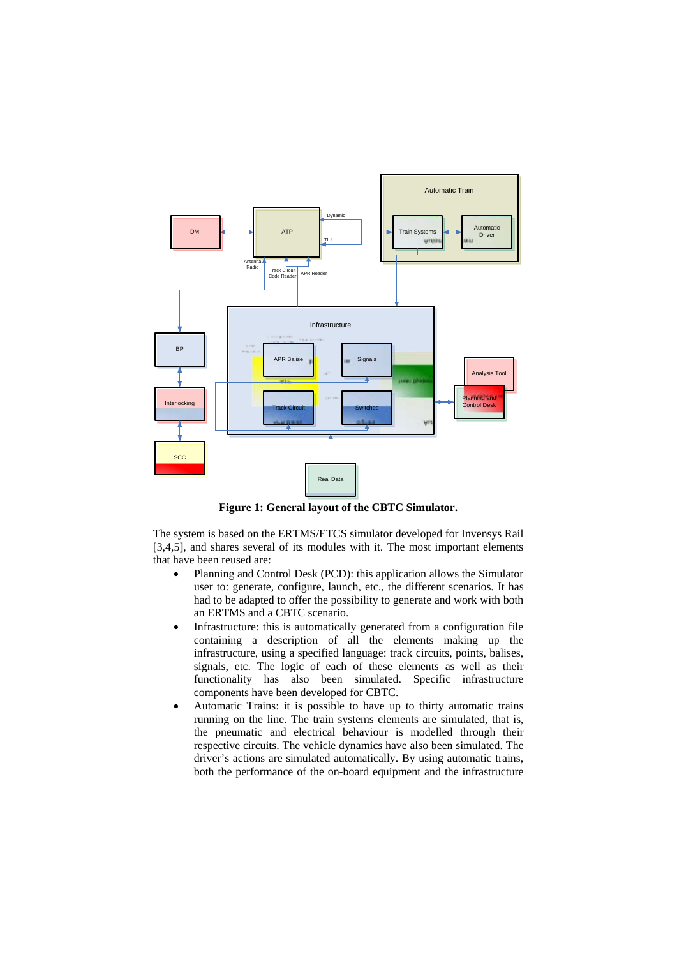

**Figure 1: General layout of the CBTC Simulator.**

<span id="page-2-0"></span>The system is based on the ERTMS/ETCS simulator developed for Invensys Rail [3,4,5], and shares several of its modules with it. The most important elements that have been reused are:

- Planning and Control Desk (PCD): this application allows the Simulator user to: generate, configure, launch, etc., the different scenarios. It has had to be adapted to offer the possibility to generate and work with both an ERTMS and a CBTC scenario.
- Infrastructure: this is automatically generated from a configuration file containing a description of all the elements making up the infrastructure, using a specified language: track circuits, points, balises, signals, etc. The logic of each of these elements as well as their functionality has also been simulated. Specific infrastructure components have been developed for CBTC.
- Automatic Trains: it is possible to have up to thirty automatic trains running on the line. The train systems elements are simulated, that is, the pneumatic and electrical behaviour is modelled through their respective circuits. The vehicle dynamics have also been simulated. The driver's actions are simulated automatically. By using automatic trains, both the performance of the on-board equipment and the infrastructure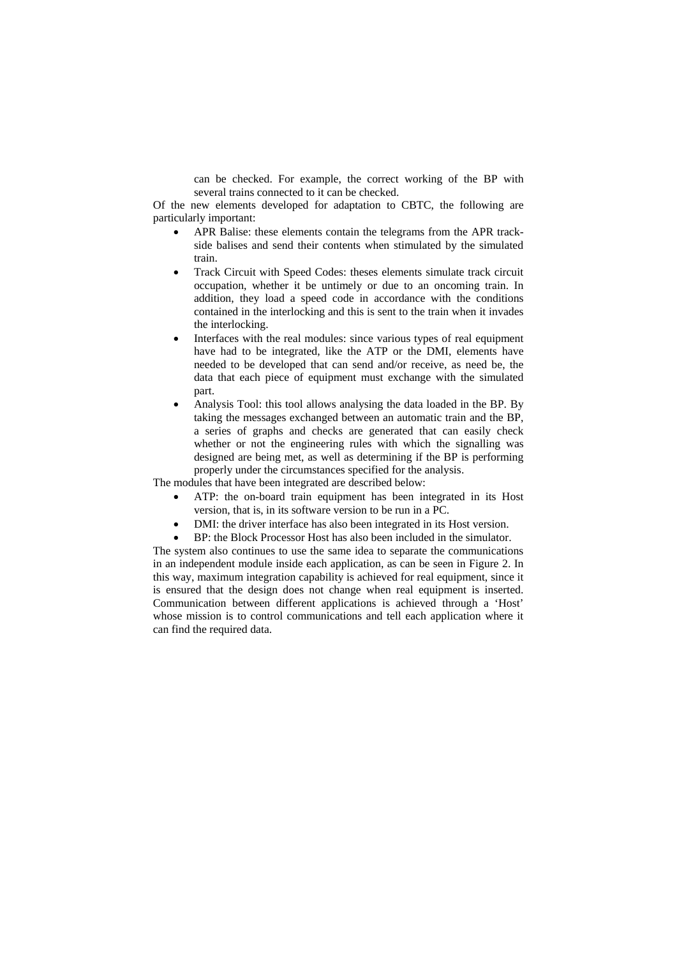can be checked. For example, the correct working of the BP with several trains connected to it can be checked.

Of the new elements developed for adaptation to CBTC, the following are particularly important:

- APR Balise: these elements contain the telegrams from the APR trackside balises and send their contents when stimulated by the simulated train.
- Track Circuit with Speed Codes: theses elements simulate track circuit occupation, whether it be untimely or due to an oncoming train. In addition, they load a speed code in accordance with the conditions contained in the interlocking and this is sent to the train when it invades the interlocking.
- Interfaces with the real modules: since various types of real equipment have had to be integrated, like the ATP or the DMI, elements have needed to be developed that can send and/or receive, as need be, the data that each piece of equipment must exchange with the simulated part.
- Analysis Tool: this tool allows analysing the data loaded in the BP. By taking the messages exchanged between an automatic train and the BP, a series of graphs and checks are generated that can easily check whether or not the engineering rules with which the signalling was designed are being met, as well as determining if the BP is performing properly under the circumstances specified for the analysis.

The modules that have been integrated are described below:

- ATP: the on-board train equipment has been integrated in its Host version, that is, in its software version to be run in a PC.
- DMI: the driver interface has also been integrated in its Host version.
- BP: the Block Processor Host has also been included in the simulator.

The system also continues to use the same idea to separate the communications in an independent module inside each application, as can be seen in [Figure 2.](#page-4-0) In this way, maximum integration capability is achieved for real equipment, since it is ensured that the design does not change when real equipment is inserted. Communication between different applications is achieved through a 'Host' whose mission is to control communications and tell each application where it can find the required data.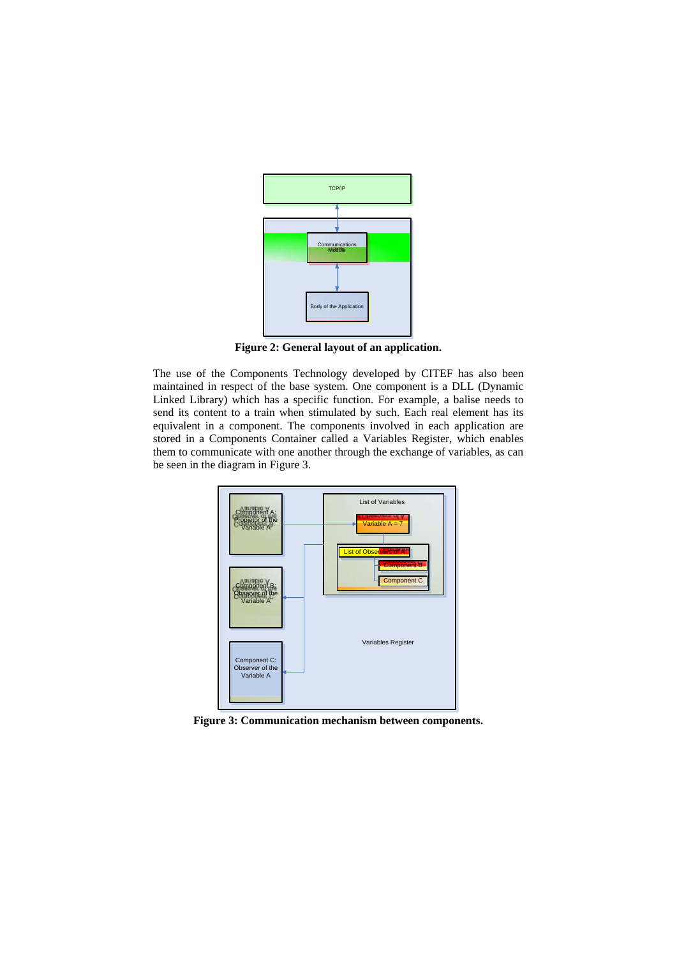

**Figure 2: General layout of an application.**

<span id="page-4-0"></span>The use of the Components Technology developed by CITEF has also been maintained in respect of the base system. One component is a DLL (Dynamic Linked Library) which has a specific function. For example, a balise needs to send its content to a train when stimulated by such. Each real element has its equivalent in a component. The components involved in each application are stored in a Components Container called a Variables Register, which enables them to communicate with one another through the exchange of variables, as can be seen in the diagram in [Figure 3.](#page-4-1)



<span id="page-4-1"></span>**Figure 3: Communication mechanism between components.**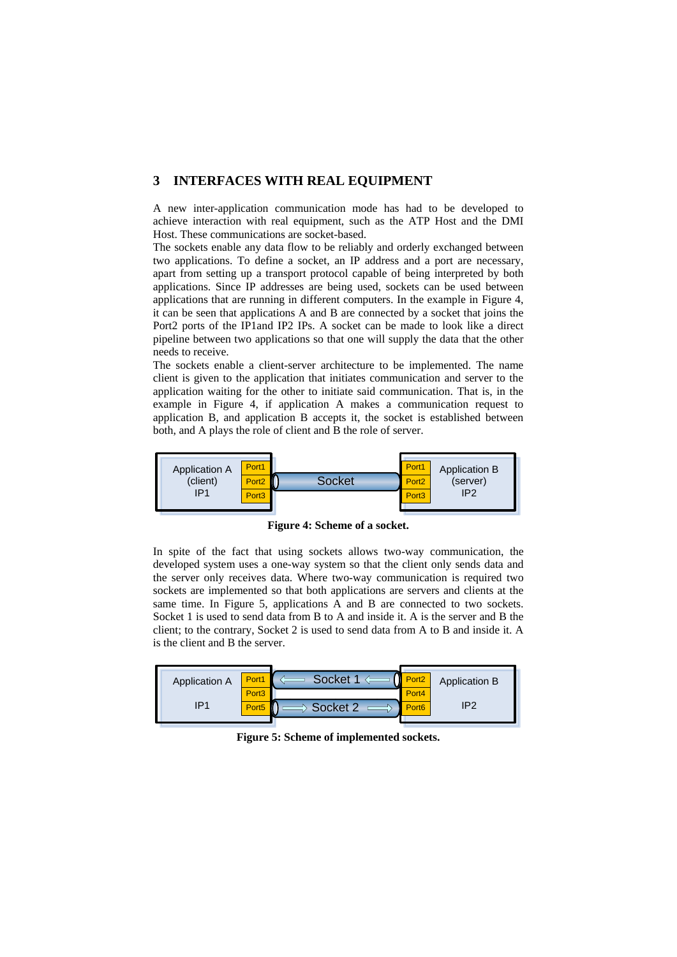#### **3 INTERFACES WITH REAL EQUIPMENT**

A new inter-application communication mode has had to be developed to achieve interaction with real equipment, such as the ATP Host and the DMI Host. These communications are socket-based.

The sockets enable any data flow to be reliably and orderly exchanged between two applications. To define a socket, an IP address and a port are necessary, apart from setting up a transport protocol capable of being interpreted by both applications. Since IP addresses are being used, sockets can be used between applications that are running in different computers. In the example in [Figure 4,](#page-5-0) it can be seen that applications A and B are connected by a socket that joins the Port2 ports of the IP1and IP2 IPs. A socket can be made to look like a direct pipeline between two applications so that one will supply the data that the other needs to receive.

The sockets enable a client-server architecture to be implemented. The name client is given to the application that initiates communication and server to the application waiting for the other to initiate said communication. That is, in the example in [Figure 4,](#page-5-0) if application A makes a communication request to application B, and application B accepts it, the socket is established between both, and A plays the role of client and B the role of server.



**Figure 4: Scheme of a socket.**

<span id="page-5-0"></span>In spite of the fact that using sockets allows two-way communication, the developed system uses a one-way system so that the client only sends data and the server only receives data. Where two-way communication is required two sockets are implemented so that both applications are servers and clients at the same time. In [Figure 5,](#page-5-1) applications  $\overrightarrow{A}$  and B are connected to two sockets. Socket 1 is used to send data from B to A and inside it. A is the server and B the client; to the contrary, Socket 2 is used to send data from A to B and inside it. A is the client and B the server.

<span id="page-5-1"></span>

**Figure 5: Scheme of implemented sockets.**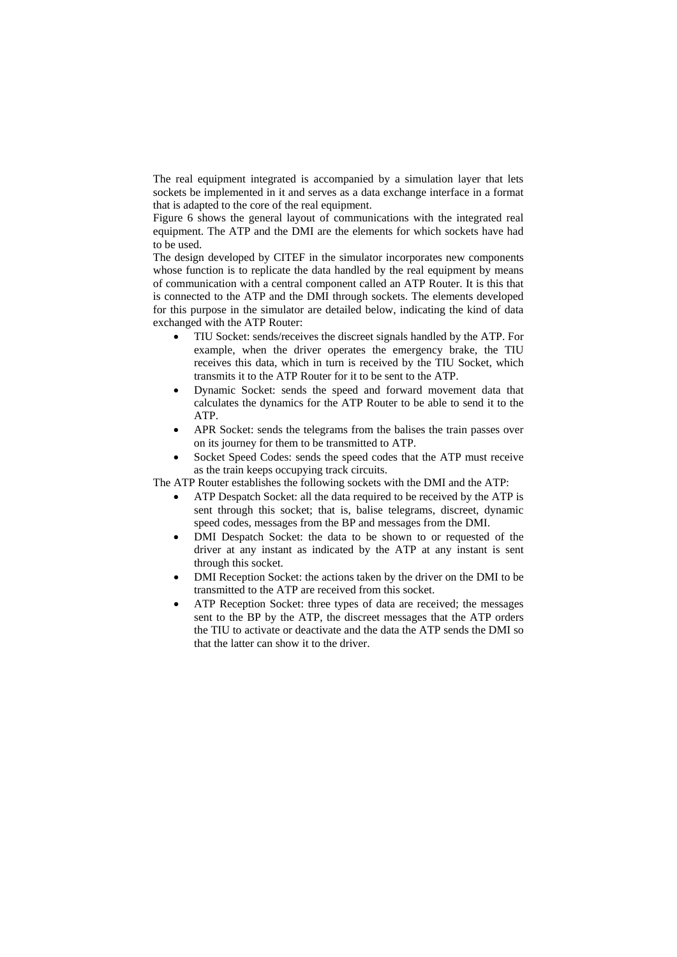The real equipment integrated is accompanied by a simulation layer that lets sockets be implemented in it and serves as a data exchange interface in a format that is adapted to the core of the real equipment.

[Figure 6](#page-7-0) shows the general layout of communications with the integrated real equipment. The ATP and the DMI are the elements for which sockets have had to be used.

The design developed by CITEF in the simulator incorporates new components whose function is to replicate the data handled by the real equipment by means of communication with a central component called an ATP Router. It is this that is connected to the ATP and the DMI through sockets. The elements developed for this purpose in the simulator are detailed below, indicating the kind of data exchanged with the ATP Router:

- TIU Socket: sends/receives the discreet signals handled by the ATP. For example, when the driver operates the emergency brake, the TIU receives this data, which in turn is received by the TIU Socket, which transmits it to the ATP Router for it to be sent to the ATP.
- Dynamic Socket: sends the speed and forward movement data that calculates the dynamics for the ATP Router to be able to send it to the ATP.
- APR Socket: sends the telegrams from the balises the train passes over on its journey for them to be transmitted to ATP.
- Socket Speed Codes: sends the speed codes that the ATP must receive as the train keeps occupying track circuits.

The ATP Router establishes the following sockets with the DMI and the ATP:

- ATP Despatch Socket: all the data required to be received by the ATP is sent through this socket; that is, balise telegrams, discreet, dynamic speed codes, messages from the BP and messages from the DMI.
- DMI Despatch Socket: the data to be shown to or requested of the driver at any instant as indicated by the ATP at any instant is sent through this socket.
- DMI Reception Socket: the actions taken by the driver on the DMI to be transmitted to the ATP are received from this socket.
- ATP Reception Socket: three types of data are received; the messages sent to the BP by the ATP, the discreet messages that the ATP orders the TIU to activate or deactivate and the data the ATP sends the DMI so that the latter can show it to the driver.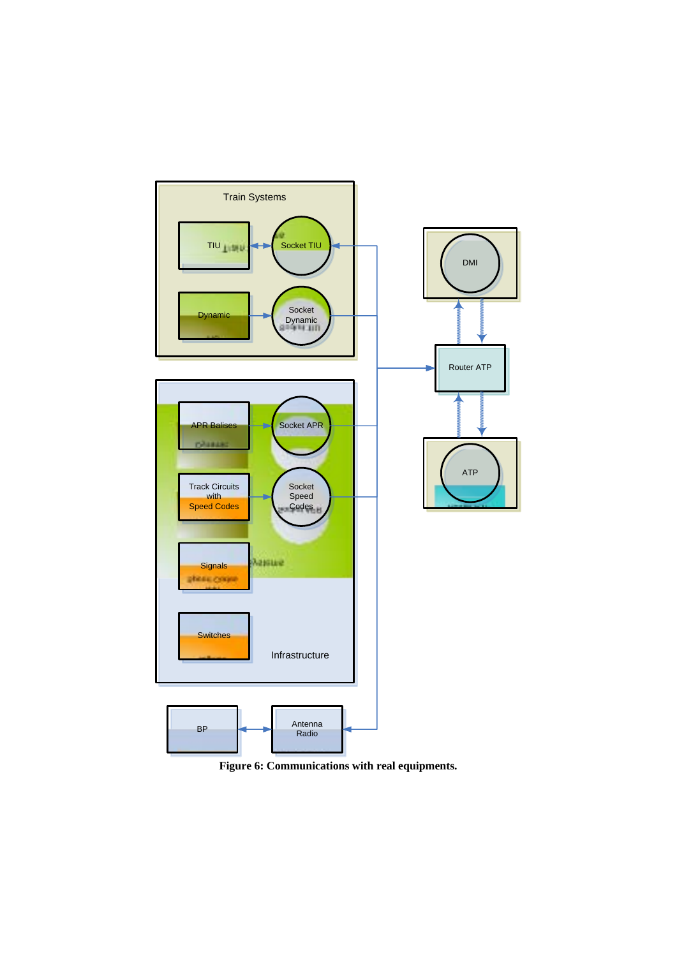

<span id="page-7-0"></span>**Figure 6: Communications with real equipments.**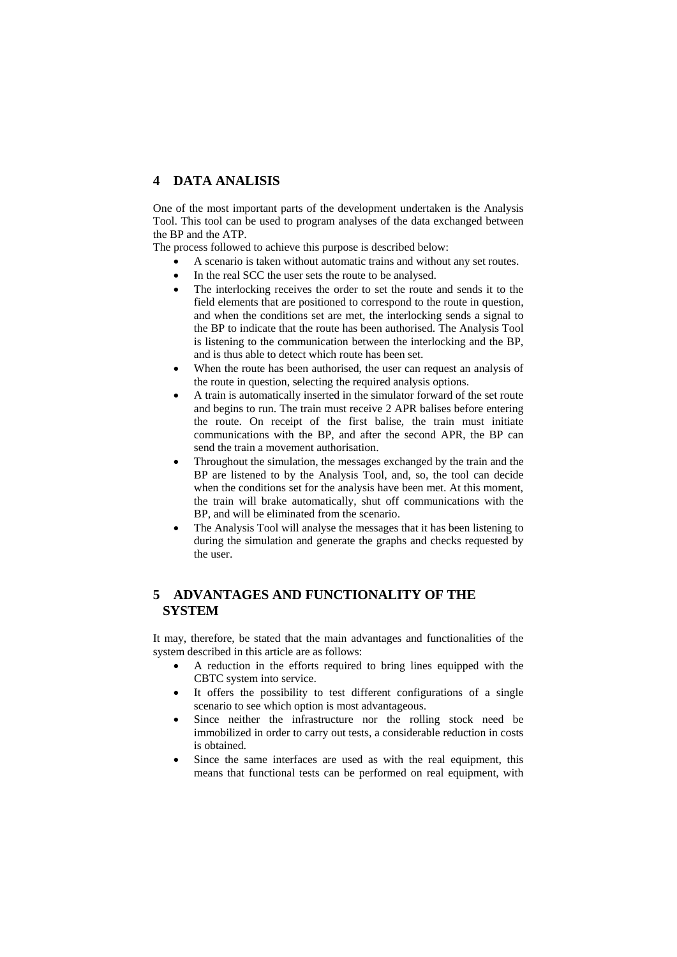## **4 DATA ANALISIS**

One of the most important parts of the development undertaken is the Analysis Tool. This tool can be used to program analyses of the data exchanged between the BP and the ATP.

The process followed to achieve this purpose is described below:

- A scenario is taken without automatic trains and without any set routes.
- In the real SCC the user sets the route to be analysed.
- The interlocking receives the order to set the route and sends it to the field elements that are positioned to correspond to the route in question, and when the conditions set are met, the interlocking sends a signal to the BP to indicate that the route has been authorised. The Analysis Tool is listening to the communication between the interlocking and the BP, and is thus able to detect which route has been set.
- When the route has been authorised, the user can request an analysis of the route in question, selecting the required analysis options.
- A train is automatically inserted in the simulator forward of the set route and begins to run. The train must receive 2 APR balises before entering the route. On receipt of the first balise, the train must initiate communications with the BP, and after the second APR, the BP can send the train a movement authorisation.
- Throughout the simulation, the messages exchanged by the train and the BP are listened to by the Analysis Tool, and, so, the tool can decide when the conditions set for the analysis have been met. At this moment, the train will brake automatically, shut off communications with the BP, and will be eliminated from the scenario.
- The Analysis Tool will analyse the messages that it has been listening to during the simulation and generate the graphs and checks requested by the user.

## **5 ADVANTAGES AND FUNCTIONALITY OF THE SYSTEM**

It may, therefore, be stated that the main advantages and functionalities of the system described in this article are as follows:

- A reduction in the efforts required to bring lines equipped with the CBTC system into service.
- It offers the possibility to test different configurations of a single scenario to see which option is most advantageous.
- Since neither the infrastructure nor the rolling stock need be immobilized in order to carry out tests, a considerable reduction in costs is obtained.
- Since the same interfaces are used as with the real equipment, this means that functional tests can be performed on real equipment, with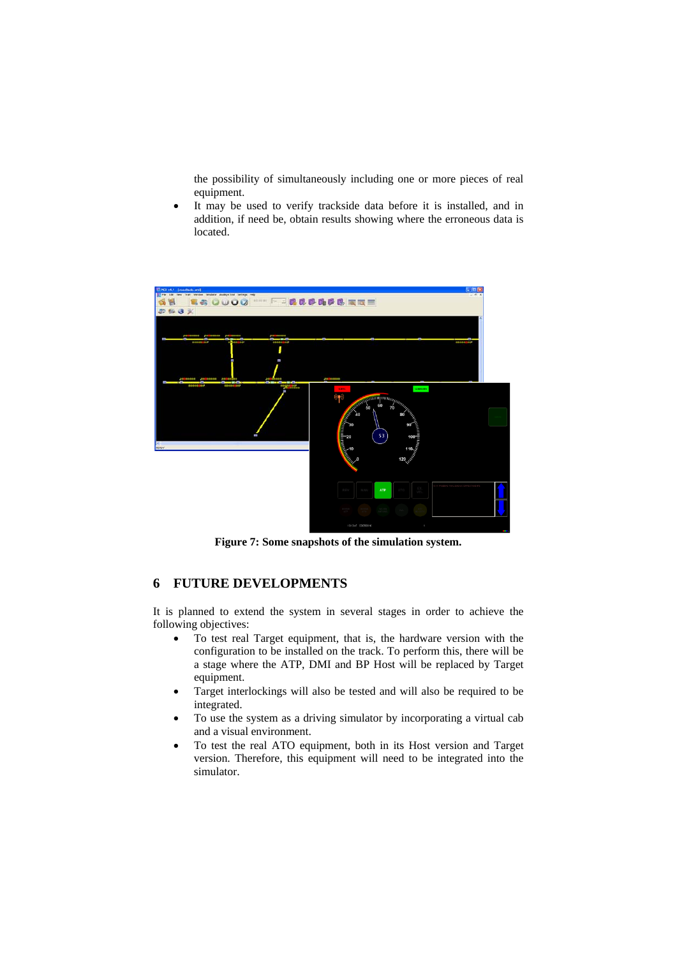the possibility of simultaneously including one or more pieces of real equipment.

• It may be used to verify trackside data before it is installed, and in addition, if need be, obtain results showing where the erroneous data is located.



**Figure 7: Some snapshots of the simulation system.**

### **6 FUTURE DEVELOPMENTS**

It is planned to extend the system in several stages in order to achieve the following objectives:

- To test real Target equipment, that is, the hardware version with the configuration to be installed on the track. To perform this, there will be a stage where the ATP, DMI and BP Host will be replaced by Target equipment.
- Target interlockings will also be tested and will also be required to be integrated.
- To use the system as a driving simulator by incorporating a virtual cab and a visual environment.
- To test the real ATO equipment, both in its Host version and Target version. Therefore, this equipment will need to be integrated into the simulator.